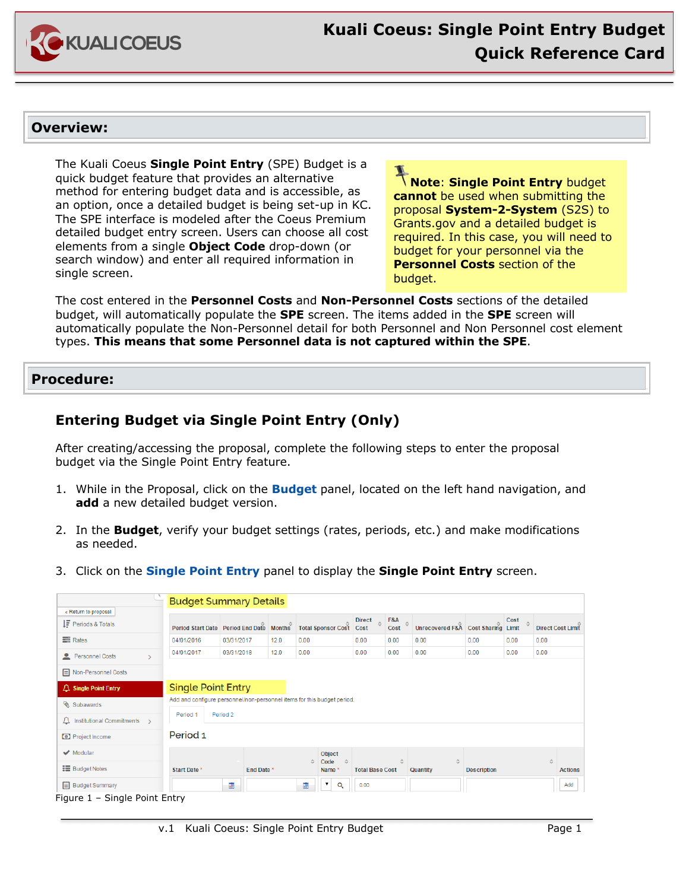

# **Overview:**

The Kuali Coeus **Single Point Entry** (SPE) Budget is a quick budget feature that provides an alternative method for entering budget data and is accessible, as an option, once a detailed budget is being set-up in KC. The SPE interface is modeled after the Coeus Premium detailed budget entry screen. Users can choose all cost elements from a single **Object Code** drop-down (or search window) and enter all required information in single screen.

**Note**: **Single Point Entry** budget **cannot** be used when submitting the proposal **System-2-System** (S2S) to Grants.gov and a detailed budget is required. In this case, you will need to budget for your personnel via the **Personnel Costs** section of the budget.

The cost entered in the **Personnel Costs** and **Non-Personnel Costs** sections of the detailed budget, will automatically populate the **SPE** screen. The items added in the **SPE** screen will automatically populate the Non-Personnel detail for both Personnel and Non Personnel cost element types. **This means that some Personnel data is not captured within the SPE**.

## **Procedure:**

# **Entering Budget via Single Point Entry (Only)**

After creating/accessing the proposal, complete the following steps to enter the proposal budget via the Single Point Entry feature.

- 1. While in the Proposal, click on the **Budget** panel, located on the left hand navigation, and **add** a new detailed budget version.
- 2. In the **Budget**, verify your budget settings (rates, periods, etc.) and make modifications as needed.
- 3. Click on the **Single Point Entry** panel to display the **Single Point Entry** screen.

|                                                             | <b>Budget Summary Details</b>                                           |                        |      |      |                         |                                    |                      |                                    |                    |      |      |                          |
|-------------------------------------------------------------|-------------------------------------------------------------------------|------------------------|------|------|-------------------------|------------------------------------|----------------------|------------------------------------|--------------------|------|------|--------------------------|
| « Return to proposal<br>$IF$ Periods & Totals               | <b>Period Start Date</b>                                                | Period End Date Months |      |      | Total Sponsor Cost      | <b>Direct</b><br>$\hat{z}$<br>Cost | $FA$ $\circ$<br>Cost | Unrecovered F&A Cost Sharing Limit |                    | Cost |      | <b>Direct Cost Limit</b> |
| <b>三</b> Rates                                              | 04/01/2016                                                              | 03/31/2017             | 12.0 | 0.00 |                         | 0.00                               | 0.00                 | 0.00                               | 0.00               | 0.00 | 0.00 |                          |
| Personnel Costs<br>$\mathcal{E}$                            | 04/01/2017                                                              | 03/31/2018             | 12.0 | 0.00 |                         | 0.00                               | 0.00                 | 0.00                               | 0.00               | 0.00 | 0.00 |                          |
| <b>E</b> Non-Personnel Costs                                |                                                                         |                        |      |      |                         |                                    |                      |                                    |                    |      |      |                          |
| $\triangle$ Single Point Entry                              | <b>Single Point Entry</b>                                               |                        |      |      |                         |                                    |                      |                                    |                    |      |      |                          |
| Subawards                                                   | Add and configure personnel/non-personnel items for this budget period. |                        |      |      |                         |                                    |                      |                                    |                    |      |      |                          |
| $\triangle$ Institutional Commitments >                     | Period <sub>1</sub>                                                     | Period 2               |      |      |                         |                                    |                      |                                    |                    |      |      |                          |
| <b>O</b> Project Income                                     | Period <sub>1</sub>                                                     |                        |      |      |                         |                                    |                      |                                    |                    |      |      |                          |
| $\blacktriangleright$ Modular                               |                                                                         |                        |      |      | Object<br>Code<br>Δ     |                                    |                      |                                    |                    |      | ÷.   |                          |
| <b>E</b> Budget Notes                                       | <b>Start Date *</b>                                                     | End Date *             |      |      | Name*                   | <b>Total Base Cost</b>             |                      | Quantity                           | <b>Description</b> |      |      | <b>Actions</b>           |
| <b>E</b> Budget Summary<br>Florest H. Charles Battel Falser |                                                                         | 画                      |      | 圖    | $\pmb{\mathrm{v}}$<br>Q | 0.00                               |                      |                                    |                    |      |      | Add                      |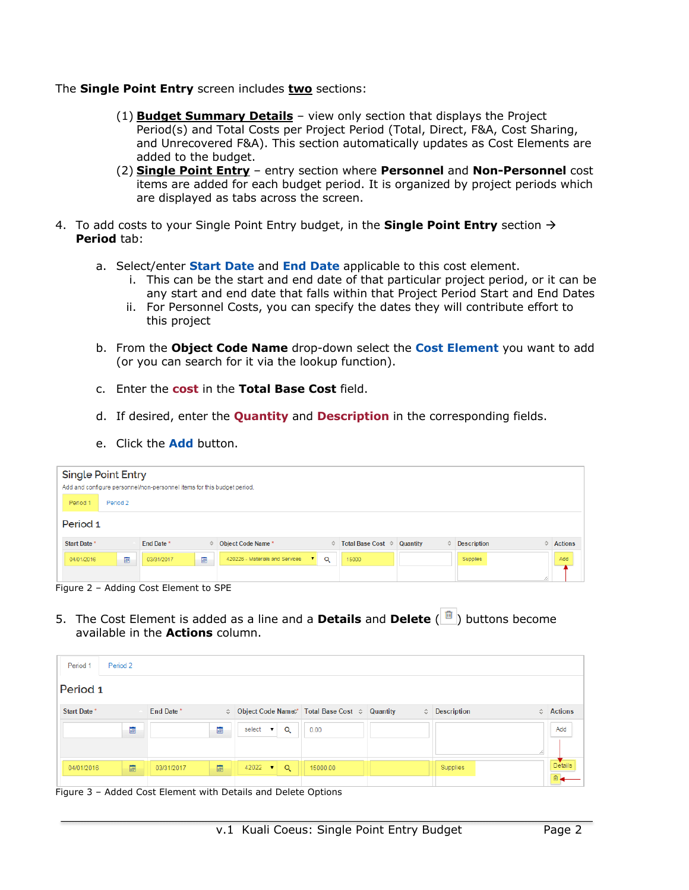The **Single Point Entry** screen includes **two** sections:

- (1) **Budget Summary Details** view only section that displays the Project Period(s) and Total Costs per Project Period (Total, Direct, F&A, Cost Sharing, and Unrecovered F&A). This section automatically updates as Cost Elements are added to the budget.
- (2) **Single Point Entry** entry section where **Personnel** and **Non-Personnel** cost items are added for each budget period. It is organized by project periods which are displayed as tabs across the screen.
- 4. To add costs to your Single Point Entry budget, in the **Single Point Entry** section  $\rightarrow$ **Period** tab:
	- a. Select/enter **Start Date** and **End Date** applicable to this cost element.
		- i. This can be the start and end date of that particular project period, or it can be any start and end date that falls within that Project Period Start and End Dates
		- ii. For Personnel Costs, you can specify the dates they will contribute effort to this project
	- b. From the **Object Code Name** drop-down select the **Cost Element** you want to add (or you can search for it via the lookup function).
	- c. Enter the **cost** in the **Total Base Cost** field.
	- d. If desired, enter the **Quantity** and **Description** in the corresponding fields.
	- e. Click the **Add** button.

| <b>Single Point Entry</b> |          | Add and configure personnel/non-personnel items for this budget period. |   |                                 |              |   |                   |               |                    |   |                |
|---------------------------|----------|-------------------------------------------------------------------------|---|---------------------------------|--------------|---|-------------------|---------------|--------------------|---|----------------|
| Period 1                  | Period 2 |                                                                         |   |                                 |              |   |                   |               |                    |   |                |
| Period 1                  |          |                                                                         |   |                                 |              |   |                   |               |                    |   |                |
| Start Date *              |          | End Date*                                                               |   | ○ Object Code Name *            |              | ≎ | Total Base Cost ≎ | Quantity<br>≎ | <b>Description</b> | A | <b>Actions</b> |
| 04/01/2016                | 匾        | 03/31/2017                                                              | 画 | 420226 - Materials and Services | $\mathbf{v}$ | Q | 15000             |               | <b>Supplies</b>    |   | Add            |
|                           |          |                                                                         |   |                                 |              |   |                   |               |                    |   |                |
|                           |          | Figure 2 - Adding Cost Element to SPE                                   |   |                                 |              |   |                   |               |                    |   |                |

- 5. The Cost Element is added as a line and a **Details** and **Delete** ( ) buttons become
- available in the **Actions** column.

| Period <sub>1</sub> | Period 2 |            |   |                                                                              |          |                               |                           |
|---------------------|----------|------------|---|------------------------------------------------------------------------------|----------|-------------------------------|---------------------------|
| Period 1            |          |            |   |                                                                              |          |                               |                           |
| Start Date *        |          | End Date*  |   | $\Diamond$ Object Code Name $\Diamond^*$ Total Base Cost $\Diamond$ Quantity |          | $\Leftrightarrow$ Description | $\Leftrightarrow$ Actions |
|                     | 圃        |            | 圃 | Q<br>select <b>v</b>                                                         | 0.00     |                               | Add                       |
| 04/01/2016          | 圖        | 03/31/2017 | 圖 | 42022<br>Q<br>$\mathbf{r}$                                                   | 15000.00 | <b>Supplies</b>               | Details                   |

Figure 3 – Added Cost Element with Details and Delete Options

 $\overline{a}$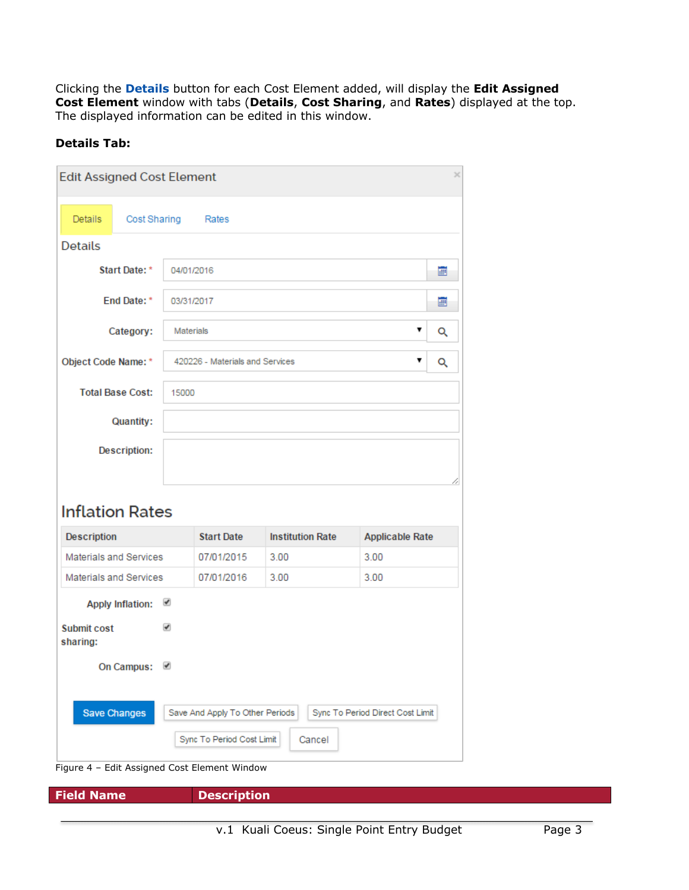Clicking the **Details** button for each Cost Element added, will display the **Edit Assigned Cost Element** window with tabs (**Details**, **Cost Sharing**, and **Rates**) displayed at the top. The displayed information can be edited in this window.

## **Details Tab:**

| <b>Edit Assigned Cost Element</b> |                  |                                 |                         |                        | $\times$ |  |  |  |  |
|-----------------------------------|------------------|---------------------------------|-------------------------|------------------------|----------|--|--|--|--|
| Cost Sharing<br><b>Details</b>    |                  | Rates                           |                         |                        |          |  |  |  |  |
| <b>Details</b>                    |                  |                                 |                         |                        |          |  |  |  |  |
| <b>Start Date: *</b>              | 04/01/2016       |                                 |                         |                        | œ        |  |  |  |  |
| End Date: *                       |                  | 03/31/2017                      |                         |                        |          |  |  |  |  |
| Category:                         | <b>Materials</b> |                                 |                         | ▼                      | Q        |  |  |  |  |
| Object Code Name: *               |                  | 420226 - Materials and Services |                         | ▼                      | Q        |  |  |  |  |
| <b>Total Base Cost:</b>           |                  | 15000                           |                         |                        |          |  |  |  |  |
| Quantity:                         |                  |                                 |                         |                        |          |  |  |  |  |
| <b>Description:</b>               |                  |                                 |                         |                        |          |  |  |  |  |
|                                   |                  |                                 |                         |                        |          |  |  |  |  |
| <b>Inflation Rates</b>            |                  |                                 |                         |                        |          |  |  |  |  |
| Description                       |                  | <b>Start Date</b>               | <b>Institution Rate</b> | <b>Applicable Rate</b> |          |  |  |  |  |
| <b>Materials and Services</b>     |                  | 07/01/2015                      | 3.00                    | 3.00                   |          |  |  |  |  |
| <b>Materials and Services</b>     |                  | 07/01/2016                      | 3.00                    |                        |          |  |  |  |  |
| <b>Apply Inflation:</b>           | ✔                |                                 |                         |                        |          |  |  |  |  |
| <b>Submit cost</b><br>sharing:    | ✔                |                                 |                         |                        |          |  |  |  |  |

On Campus: **Ø** Save Changes Save And Apply To Other Periods Sync To Period Direct Cost Limit

#### Sync To Period Cost Limit Cancel

Figure 4 – Edit Assigned Cost Element Window

**Field Name Description** 

 $\overline{a}$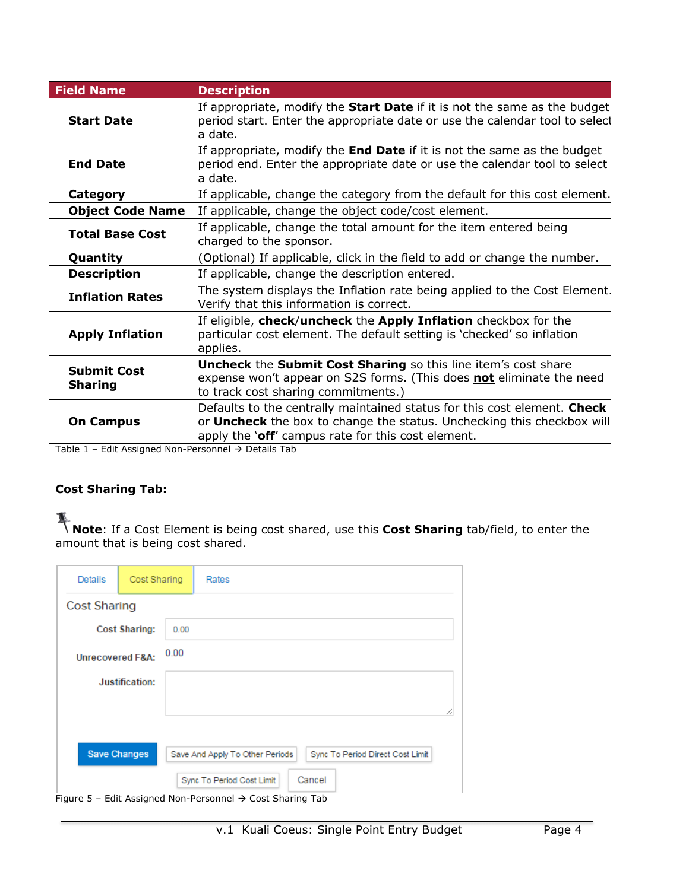| <b>Field Name</b>                    | <b>Description</b>                                                                                                                                                                                       |
|--------------------------------------|----------------------------------------------------------------------------------------------------------------------------------------------------------------------------------------------------------|
| <b>Start Date</b>                    | If appropriate, modify the <b>Start Date</b> if it is not the same as the budget<br>period start. Enter the appropriate date or use the calendar tool to select<br>a date.                               |
| <b>End Date</b>                      | If appropriate, modify the <b>End Date</b> if it is not the same as the budget<br>period end. Enter the appropriate date or use the calendar tool to select<br>a date.                                   |
| <b>Category</b>                      | If applicable, change the category from the default for this cost element.                                                                                                                               |
| <b>Object Code Name</b>              | If applicable, change the object code/cost element.                                                                                                                                                      |
| <b>Total Base Cost</b>               | If applicable, change the total amount for the item entered being<br>charged to the sponsor.                                                                                                             |
| Quantity                             | (Optional) If applicable, click in the field to add or change the number.                                                                                                                                |
| <b>Description</b>                   | If applicable, change the description entered.                                                                                                                                                           |
| <b>Inflation Rates</b>               | The system displays the Inflation rate being applied to the Cost Element.<br>Verify that this information is correct.                                                                                    |
| <b>Apply Inflation</b>               | If eligible, check/uncheck the Apply Inflation checkbox for the<br>particular cost element. The default setting is 'checked' so inflation<br>applies.                                                    |
| <b>Submit Cost</b><br><b>Sharing</b> | Uncheck the Submit Cost Sharing so this line item's cost share<br>expense won't appear on S2S forms. (This does not eliminate the need<br>to track cost sharing commitments.)                            |
| <b>On Campus</b>                     | Defaults to the centrally maintained status for this cost element. Check<br>or Uncheck the box to change the status. Unchecking this checkbox will<br>apply the 'off' campus rate for this cost element. |

Table 1 – Edit Assigned Non-Personnel  $\rightarrow$  Details Tab

# **Cost Sharing Tab:**

 $\overline{a}$ 

**Note**: If a Cost Element is being cost shared, use this **Cost Sharing** tab/field, to enter the amount that is being cost shared.

| Details                      | Cost Sharing   |          | Rates                                                                     |  |  |  |  |
|------------------------------|----------------|----------|---------------------------------------------------------------------------|--|--|--|--|
| <b>Cost Sharing</b>          |                |          |                                                                           |  |  |  |  |
| <b>Cost Sharing:</b><br>0.00 |                |          |                                                                           |  |  |  |  |
| <b>Unrecovered F&amp;A:</b>  |                | 0.00     |                                                                           |  |  |  |  |
|                              | Justification: |          |                                                                           |  |  |  |  |
|                              |                |          |                                                                           |  |  |  |  |
|                              |                |          |                                                                           |  |  |  |  |
| <b>Save Changes</b>          |                |          | Save And Apply To Other Periods<br>Sync To Period Direct Cost Limit       |  |  |  |  |
| --<br>-                      | $    -$        | $\cdots$ | Cancel<br>Sync To Period Cost Limit<br>$\cdots$ $\cdots$<br>$\sim$<br>- - |  |  |  |  |

Figure 5 – Edit Assigned Non-Personnel  $\rightarrow$  Cost Sharing Tab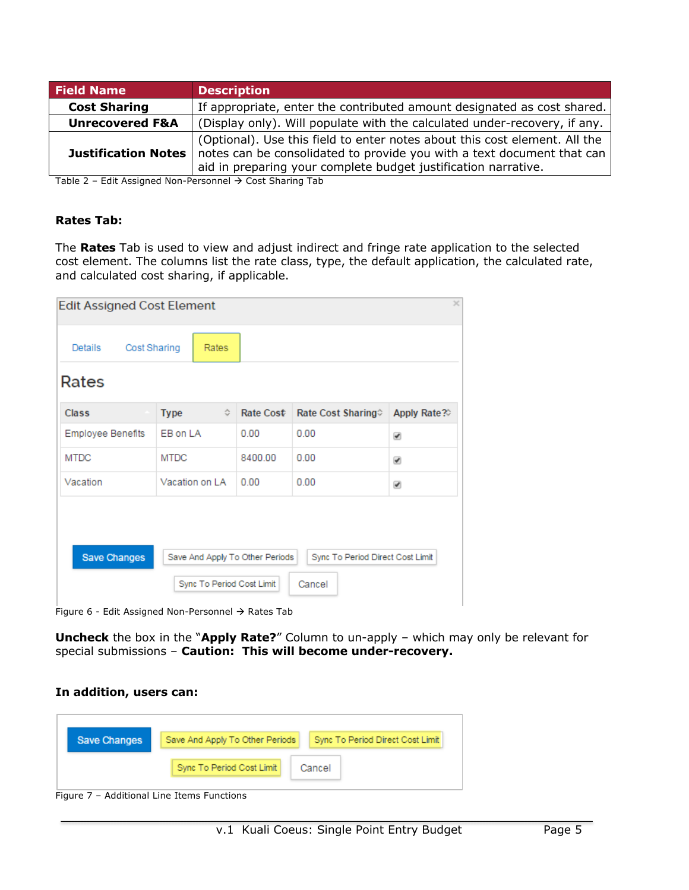| <b>Field Name</b>          | <b>Description</b>                                                                                                                                                                                                     |
|----------------------------|------------------------------------------------------------------------------------------------------------------------------------------------------------------------------------------------------------------------|
| <b>Cost Sharing</b>        | If appropriate, enter the contributed amount designated as cost shared.                                                                                                                                                |
| <b>Unrecovered F&amp;A</b> | (Display only). Will populate with the calculated under-recovery, if any.                                                                                                                                              |
| <b>Justification Notes</b> | (Optional). Use this field to enter notes about this cost element. All the<br>notes can be consolidated to provide you with a text document that can<br>aid in preparing your complete budget justification narrative. |

Table 2 – Edit Assigned Non-Personnel  $\rightarrow$  Cost Sharing Tab

### **Rates Tab:**

The **Rates** Tab is used to view and adjust indirect and fringe rate application to the selected cost element. The columns list the rate class, type, the default application, the calculated rate, and calculated cost sharing, if applicable.

| <b>Edit Assigned Cost Element</b> |                                 |           |                                  |             |
|-----------------------------------|---------------------------------|-----------|----------------------------------|-------------|
| <b>Cost Sharing</b><br>Details    | Rates                           |           |                                  |             |
| Rates                             |                                 |           |                                  |             |
| <b>Class</b>                      | <b>Type</b><br>≎                | Rate Cost | Rate Cost Sharing                | Apply Rate? |
| <b>Employee Benefits</b>          | EB on LA                        | 0.00      | 0.00                             | ✔           |
| <b>MTDC</b>                       | <b>MTDC</b>                     | 8400.00   | 0.00                             | ✔           |
| Vacation                          | Vacation on LA                  | 0.00      | 0.00                             | ✔           |
| <b>Save Changes</b>               | Save And Apply To Other Periods |           | Sync To Period Direct Cost Limit |             |
|                                   | Sync To Period Cost Limit       |           | Cancel                           |             |

Figure 6 - Edit Assigned Non-Personnel  $\rightarrow$  Rates Tab

**Uncheck** the box in the "**Apply Rate?**" Column to un-apply – which may only be relevant for special submissions – **Caution: This will become under-recovery.**

#### **In addition, users can:**

 $\overline{a}$ 



Figure 7 – Additional Line Items Functions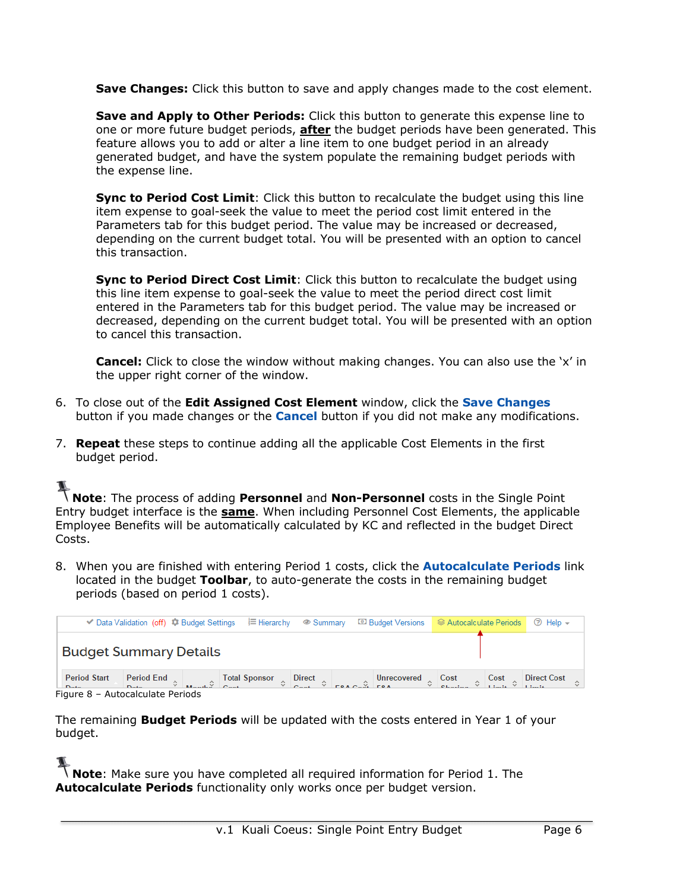**Save Changes:** Click this button to save and apply changes made to the cost element.

**Save and Apply to Other Periods:** Click this button to generate this expense line to one or more future budget periods, **after** the budget periods have been generated. This feature allows you to add or alter a line item to one budget period in an already generated budget, and have the system populate the remaining budget periods with the expense line.

**Sync to Period Cost Limit**: Click this button to recalculate the budget using this line item expense to goal-seek the value to meet the period cost limit entered in the Parameters tab for this budget period. The value may be increased or decreased, depending on the current budget total. You will be presented with an option to cancel this transaction.

**Sync to Period Direct Cost Limit**: Click this button to recalculate the budget using this line item expense to goal-seek the value to meet the period direct cost limit entered in the Parameters tab for this budget period. The value may be increased or decreased, depending on the current budget total. You will be presented with an option to cancel this transaction.

**Cancel:** Click to close the window without making changes. You can also use the 'x' in the upper right corner of the window.

- 6. To close out of the **Edit Assigned Cost Element** window, click the **Save Changes** button if you made changes or the **Cancel** button if you did not make any modifications.
- 7. **Repeat** these steps to continue adding all the applicable Cost Elements in the first budget period.

 $\overline{a}$ 

**Note:** The process of adding **Personnel** and **Non-Personnel** costs in the Single Point Entry budget interface is the **same**. When including Personnel Cost Elements, the applicable Employee Benefits will be automatically calculated by KC and reflected in the budget Direct Costs.

8. When you are finished with entering Period 1 costs, click the **Autocalculate Periods** link located in the budget **Toolbar**, to auto-generate the costs in the remaining budget periods (based on period 1 costs).

|                                                                              |                               |  |                                                                                                                                                                                                                                              |  |  |  |  |  |  |  | $\circledcirc$ Help $\sim$ |  |  |
|------------------------------------------------------------------------------|-------------------------------|--|----------------------------------------------------------------------------------------------------------------------------------------------------------------------------------------------------------------------------------------------|--|--|--|--|--|--|--|----------------------------|--|--|
|                                                                              | <b>Budget Summary Details</b> |  |                                                                                                                                                                                                                                              |  |  |  |  |  |  |  |                            |  |  |
| <b>Period Start</b><br>Dota <sub>n</sub><br>Figure 8 - Autocalculate Periods |                               |  | Period End $\Diamond$ Total Sponsor $\Diamond$ Direct $\Diamond$ Direct $\Diamond$ Direct Cost $\Diamond$ Cost $\Diamond$ Direct Cost $\Diamond$ Direct Cost $\Diamond$ Direct Cost $\Diamond$ Direct Cost $\Diamond$ Direct Cost $\Diamond$ |  |  |  |  |  |  |  |                            |  |  |

The remaining **Budget Periods** will be updated with the costs entered in Year 1 of your budget.

**Note**: Make sure you have completed all required information for Period 1. The **Autocalculate Periods** functionality only works once per budget version.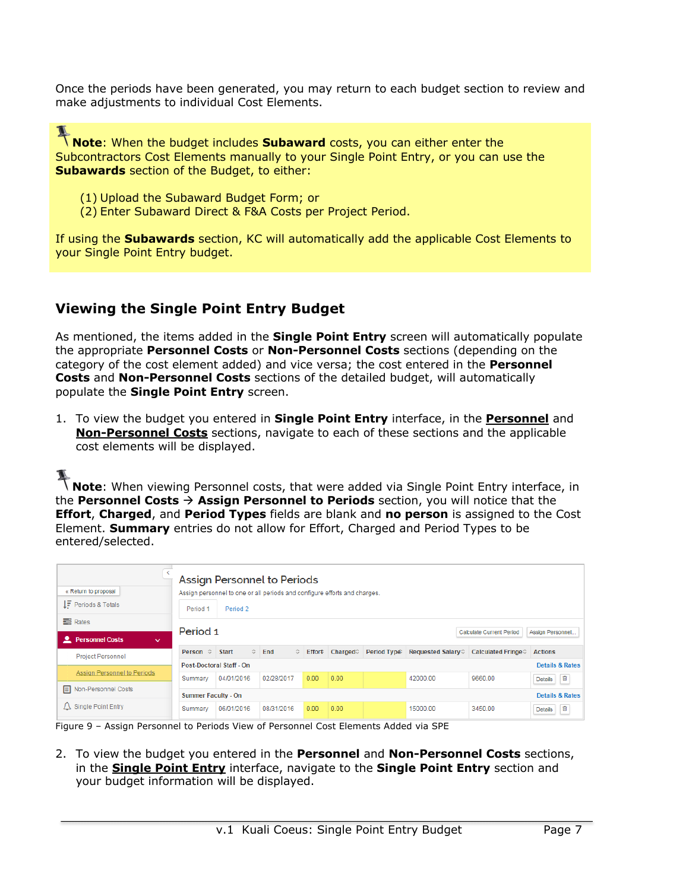Once the periods have been generated, you may return to each budget section to review and make adjustments to individual Cost Elements.

I **Note**: When the budget includes **Subaward** costs, you can either enter the Subcontractors Cost Elements manually to your Single Point Entry, or you can use the **Subawards** section of the Budget, to either:

- (1) Upload the Subaward Budget Form; or
- (2) Enter Subaward Direct & F&A Costs per Project Period.

If using the **Subawards** section, KC will automatically add the applicable Cost Elements to your Single Point Entry budget.

# **Viewing the Single Point Entry Budget**

As mentioned, the items added in the **Single Point Entry** screen will automatically populate the appropriate **Personnel Costs** or **Non-Personnel Costs** sections (depending on the category of the cost element added) and vice versa; the cost entered in the **Personnel Costs** and **Non-Personnel Costs** sections of the detailed budget, will automatically populate the **Single Point Entry** screen.

1. To view the budget you entered in **Single Point Entry** interface, in the **Personnel** and **Non-Personnel Costs** sections, navigate to each of these sections and the applicable cost elements will be displayed.

 $\overline{a}$ 

**Note:** When viewing Personnel costs, that were added via Single Point Entry interface, in the **Personnel Costs**  $\rightarrow$  **Assign Personnel to Periods** section, you will notice that the **Effort**, **Charged**, and **Period Types** fields are blank and **no person** is assigned to the Cost Element. **Summary** entries do not allow for Effort, Charged and Period Types to be entered/selected.

| « Return to proposal<br>$I\bar{F}$ Periods & Totals        | Period 1                   | Assign Personnel to Periods<br>Assign personnel to one or all periods and configure efforts and charges.<br>Period 2 |            |      |                             |             |                           |                     |                            |
|------------------------------------------------------------|----------------------------|----------------------------------------------------------------------------------------------------------------------|------------|------|-----------------------------|-------------|---------------------------|---------------------|----------------------------|
| <b>B</b> Rates<br><b>L</b> Personnel Costs<br>$\checkmark$ |                            | Period 1                                                                                                             |            |      |                             |             |                           |                     | Assign Personnel           |
| <b>Project Personnel</b>                                   | Person $\Leftrightarrow$   | $\hat{C}$<br><b>Start</b>                                                                                            | End<br>≎   |      | Effort Charged <sup>*</sup> | Period Type | <b>Requested Salary</b> ♦ | Calculated Fringe ♡ | <b>Actions</b>             |
|                                                            |                            | Post-Doctoral Staff - On                                                                                             |            |      |                             |             |                           |                     | <b>Details &amp; Rates</b> |
| Assign Personnel to Periods                                | Summary                    | 04/01/2016                                                                                                           | 02/28/2017 | 0.00 | 0.00                        |             | 42000.00                  | 9660.00             | 画<br><b>Details</b>        |
| <b>E</b> Non-Personnel Costs                               | <b>Summer Faculty - On</b> |                                                                                                                      |            |      |                             |             |                           |                     | <b>Details &amp; Rates</b> |
| $\triangle$ Single Point Entry                             | Summary                    | 06/01/2016                                                                                                           | 08/31/2016 | 0.00 | 0.00                        |             | 15000.00                  | 3450.00             | 盲<br>Details               |

Figure 9 – Assign Personnel to Periods View of Personnel Cost Elements Added via SPE

2. To view the budget you entered in the **Personnel** and **Non-Personnel Costs** sections, in the **Single Point Entry** interface, navigate to the **Single Point Entry** section and your budget information will be displayed.